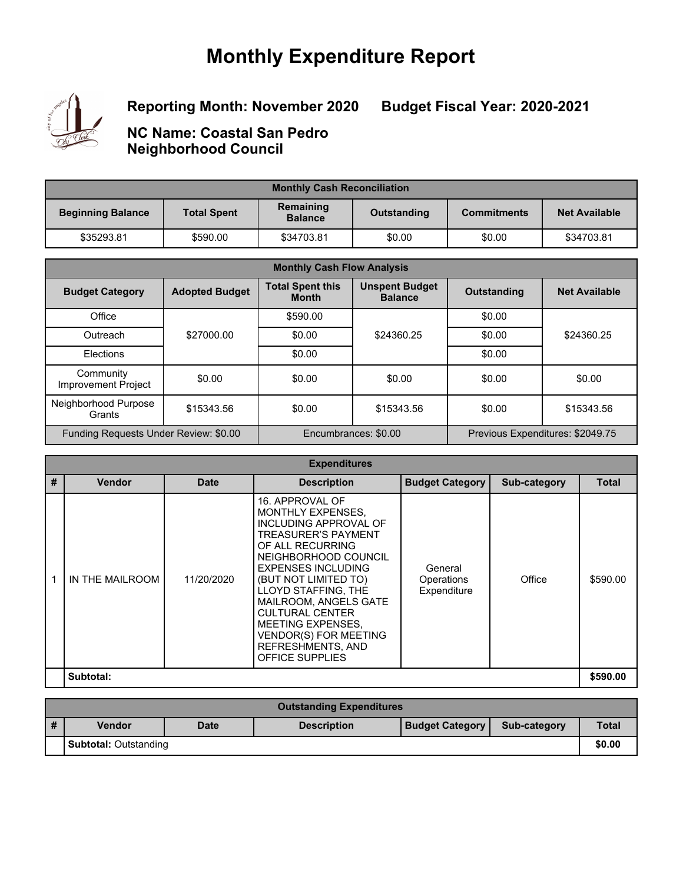# **Monthly Expenditure Report**



**Reporting Month: November 2020**

**Budget Fiscal Year: 2020-2021**

**NC Name: Coastal San Pedro Neighborhood Council**

| <b>Monthly Cash Reconciliation</b> |                    |                                            |        |                    |                      |  |
|------------------------------------|--------------------|--------------------------------------------|--------|--------------------|----------------------|--|
| <b>Beginning Balance</b>           | <b>Total Spent</b> | Remaining<br>Outstanding<br><b>Balance</b> |        | <b>Commitments</b> | <b>Net Available</b> |  |
| \$35293.81                         | \$590.00           | \$34703.81                                 | \$0.00 | \$0.00             | \$34703.81           |  |

| <b>Monthly Cash Flow Analysis</b>       |                       |                                         |                                                          |                    |                      |  |
|-----------------------------------------|-----------------------|-----------------------------------------|----------------------------------------------------------|--------------------|----------------------|--|
| <b>Budget Category</b>                  | <b>Adopted Budget</b> | <b>Total Spent this</b><br><b>Month</b> | <b>Unspent Budget</b><br><b>Balance</b>                  | <b>Outstanding</b> | <b>Net Available</b> |  |
| Office                                  |                       | \$590.00                                |                                                          | \$0.00             |                      |  |
| Outreach                                | \$27000.00            | \$0.00                                  | \$24360.25                                               | \$0.00             | \$24360.25           |  |
| Elections                               |                       | \$0.00                                  |                                                          | \$0.00             |                      |  |
| Community<br><b>Improvement Project</b> | \$0.00                | \$0.00                                  | \$0.00                                                   | \$0.00             | \$0.00               |  |
| Neighborhood Purpose<br>Grants          | \$15343.56            | \$0.00                                  | \$15343.56                                               | \$0.00             | \$15343.56           |  |
| Funding Requests Under Review: \$0.00   |                       |                                         | Previous Expenditures: \$2049.75<br>Encumbrances: \$0.00 |                    |                      |  |

| <b>Expenditures</b> |                 |             |                                                                                                                                                                                                                                                                                                                                                                            |                                      |              |              |  |
|---------------------|-----------------|-------------|----------------------------------------------------------------------------------------------------------------------------------------------------------------------------------------------------------------------------------------------------------------------------------------------------------------------------------------------------------------------------|--------------------------------------|--------------|--------------|--|
| #                   | <b>Vendor</b>   | <b>Date</b> | <b>Description</b>                                                                                                                                                                                                                                                                                                                                                         | <b>Budget Category</b>               | Sub-category | <b>Total</b> |  |
|                     | IN THE MAILROOM | 11/20/2020  | 16. APPROVAL OF<br>MONTHLY EXPENSES.<br>INCLUDING APPROVAL OF<br><b>TREASURER'S PAYMENT</b><br>OF ALL RECURRING<br>NEIGHBORHOOD COUNCIL<br><b>EXPENSES INCLUDING</b><br>(BUT NOT LIMITED TO)<br>LLOYD STAFFING, THE<br>MAILROOM, ANGELS GATE<br><b>CULTURAL CENTER</b><br>MEETING EXPENSES.<br><b>VENDOR(S) FOR MEETING</b><br>REFRESHMENTS, AND<br><b>OFFICE SUPPLIES</b> | General<br>Operations<br>Expenditure | Office       | \$590.00     |  |
|                     | Subtotal:       |             |                                                                                                                                                                                                                                                                                                                                                                            |                                      |              | \$590.00     |  |

|                              | <b>Outstanding Expenditures</b> |             |                    |                        |              |              |  |
|------------------------------|---------------------------------|-------------|--------------------|------------------------|--------------|--------------|--|
|                              | <b>Vendor</b>                   | <b>Date</b> | <b>Description</b> | <b>Budget Category</b> | Sub-category | <b>Total</b> |  |
| <b>Subtotal: Outstanding</b> |                                 |             |                    |                        |              | \$0.00       |  |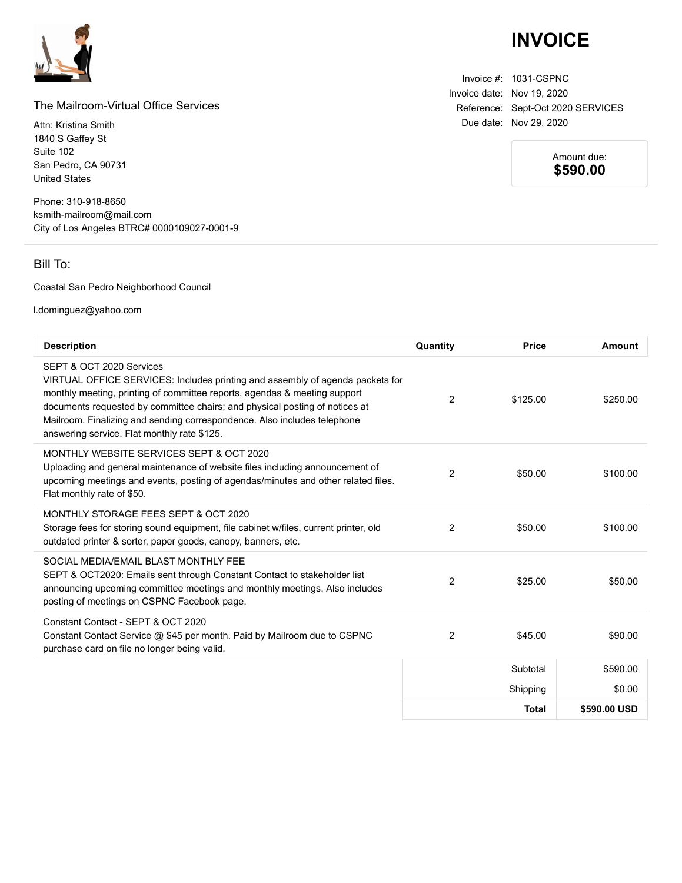

#### The Mailroom-Virtual Office Services

Attn: Kristina Smith 1840 S Gaffey St Suite 102 San Pedro, CA 90731 United States

Phone: 310-918-8650 ksmith-mailroom@mail.com City of Los Angeles BTRC# 0000109027-0001-9

### Bill To:

Coastal San Pedro Neighborhood Council

l.dominguez@yahoo.com

| <b>Description</b>                                                                                                                                                                                                                                                                                                                                                                               | Quantity       | <b>Price</b> | Amount       |
|--------------------------------------------------------------------------------------------------------------------------------------------------------------------------------------------------------------------------------------------------------------------------------------------------------------------------------------------------------------------------------------------------|----------------|--------------|--------------|
| SEPT & OCT 2020 Services<br>VIRTUAL OFFICE SERVICES: Includes printing and assembly of agenda packets for<br>monthly meeting, printing of committee reports, agendas & meeting support<br>documents requested by committee chairs; and physical posting of notices at<br>Mailroom. Finalizing and sending correspondence. Also includes telephone<br>answering service. Flat monthly rate \$125. | 2              | \$125.00     | \$250.00     |
| MONTHLY WEBSITE SERVICES SEPT & OCT 2020<br>Uploading and general maintenance of website files including announcement of<br>upcoming meetings and events, posting of agendas/minutes and other related files.<br>Flat monthly rate of \$50.                                                                                                                                                      | $\overline{2}$ | \$50.00      | \$100.00     |
| MONTHLY STORAGE FEES SEPT & OCT 2020<br>Storage fees for storing sound equipment, file cabinet w/files, current printer, old<br>outdated printer & sorter, paper goods, canopy, banners, etc.                                                                                                                                                                                                    | 2              | \$50.00      | \$100.00     |
| SOCIAL MEDIA/EMAIL BLAST MONTHLY FEE<br>SEPT & OCT2020: Emails sent through Constant Contact to stakeholder list<br>announcing upcoming committee meetings and monthly meetings. Also includes<br>posting of meetings on CSPNC Facebook page.                                                                                                                                                    | $\overline{2}$ | \$25.00      | \$50.00      |
| Constant Contact - SEPT & OCT 2020<br>Constant Contact Service @ \$45 per month. Paid by Mailroom due to CSPNC<br>purchase card on file no longer being valid.                                                                                                                                                                                                                                   | 2              | \$45.00      | \$90.00      |
|                                                                                                                                                                                                                                                                                                                                                                                                  |                | Subtotal     | \$590.00     |
|                                                                                                                                                                                                                                                                                                                                                                                                  |                | Shipping     | \$0.00       |
|                                                                                                                                                                                                                                                                                                                                                                                                  |                | <b>Total</b> | \$590,00 USD |

## **INVOICE**

Invoice #: 1031-CSPNC Invoice date: Nov 19, 2020 Reference: Sept-Oct 2020 SERVICES Due date: Nov 29, 2020

> Amount due: **\$590.00**